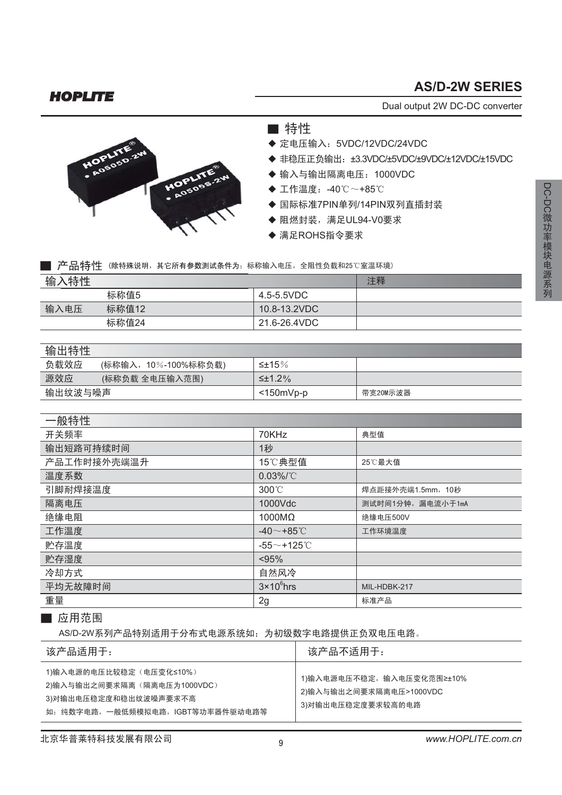## **AS/D-2W SERIES**

*HOPLITE*

Dual output 2W DC-DC converter



■特性

- ◆ 定电压输入: 5VDC/12VDC/24VDC
- ◆ 非稳压正负输出: ±3.3VDC/±5VDC/±9VDC/±12VDC/±15VDC
- ◆ 输入与输出隔离电压: 1000VDC
- ◆ 工作温度: -40℃~+85℃
- ◆ 国际标准7PIN单列/14PIN双列直插封装
- ◆ 阻燃封装, 满足UL94-V0要求
- ◆ 满足ROHS指令要求

■ 产品特性 (除特殊说明, 其它所有参数测试条件为: 标称输入电压, 全阻性负载和25℃室温环境)

| 、特性<br>输。 |       |              | 注释 |
|-----------|-------|--------------|----|
|           | 标称值5  | 4.5-5.5VDC   |    |
| 输入电压      | 标称值12 | 10.8-13.2VDC |    |
|           | 标称值24 | 21.6-26.4VDC |    |

#### 输出特性

| 负载效应<br>(标称输入,10%-100%标称负载) | ≤±15%            |          |  |  |  |
|-----------------------------|------------------|----------|--|--|--|
| 源效应<br>(标称负载 全电压输入范围)       | $\leq \pm 1.2\%$ |          |  |  |  |
| 输出纹波与噪声                     | $<$ 150mVp-p     | 带宽20M示波器 |  |  |  |

| 一般特性        |                            |                   |
|-------------|----------------------------|-------------------|
| 开关频率        | 70KHz                      | 典型值               |
| 输出短路可持续时间   | 1秒                         |                   |
| 产品工作时接外壳端温升 | 15℃典型值                     | 25℃最大值            |
| 温度系数        | $0.03\%$ /°C               |                   |
| 引脚耐焊接温度     | $300^{\circ}$ C            | 焊点距接外壳端1.5mm, 10秒 |
| 隔离电压        | 1000Vdc                    | 测试时间1分钟,漏电流小于1mA  |
| 绝缘电阻        | 1000MΩ                     | 绝缘电压500V          |
| 工作温度        | -40 $\sim$ +85 $\degree$ C | 工作环境温度            |
| 贮存温度        | $-55$ ~+125°C              |                   |
| 贮存湿度        | < 95%                      |                   |
| 冷却方式        | 自然风冷                       |                   |
| 平均无故障时间     | $3 \times 10^6$ hrs        | MIL-HDBK-217      |
| 重量          | 2g                         | 标准产品              |

#### ■ 应用范围

AS/D-2W系列产品特别适用于分布式电源系统如: 为初级数字电路提供正负双电压电路。

| 该产品适用于:                                                                                                            | 该产品不适用于:                                                                  |
|--------------------------------------------------------------------------------------------------------------------|---------------------------------------------------------------------------|
| 1)输入电源的电压比较稳定(电压变化≤10%)<br>2)输入与输出之间要求隔离(隔离电压为1000VDC)<br>3)对输出电压稳定度和稳出纹波噪声要求不高<br>如:纯数字电路,一般低频模拟电路,IGBT等功率器件驱动电路等 | 1)输入电源电压不稳定,输入电压变化范围≥±10%<br>2)输入与输出之间要求隔离电压>1000VDC<br>3)对输出电压稳定度要求较高的电路 |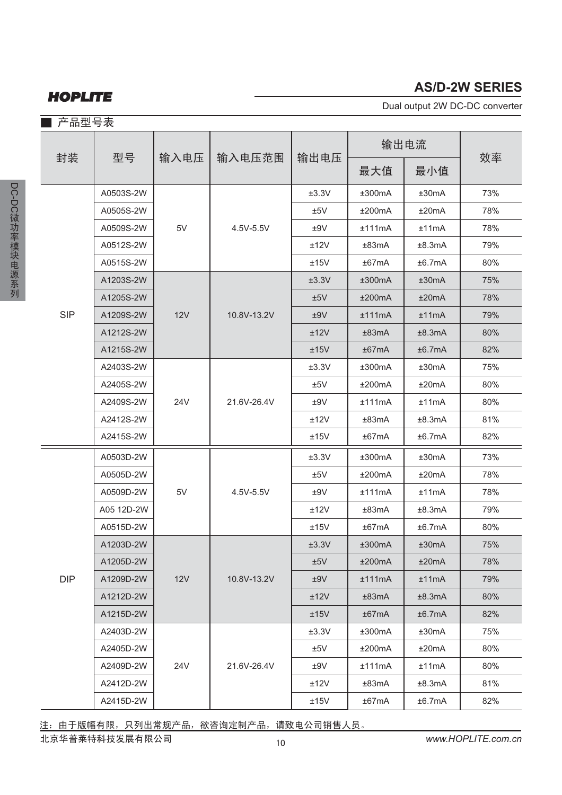## *HOPLITE*

### **AS/D-2W SERIES**

Dual output 2W DC-DC converter

| 产品型号表      |            |      |             |       |        |        |     |
|------------|------------|------|-------------|-------|--------|--------|-----|
| 封装         | 型묵         | 输入电压 | 输入电压范围      | 输出电压  | 输出电流   |        |     |
|            |            |      |             |       | 最大值    | 最小值    | 效率  |
|            | A0503S-2W  | 5V   | 4.5V-5.5V   | ±3.3V | ±300mA | ±30mA  | 73% |
|            | A0505S-2W  |      |             | ±5V   | ±200mA | ±20mA  | 78% |
|            | A0509S-2W  |      |             | ±9V   | ±111mA | ±11mA  | 78% |
|            | A0512S-2W  |      |             | ±12V  | ±83mA  | ±8.3mA | 79% |
|            | A0515S-2W  |      |             | ±15V  | ±67mA  | ±6.7mA | 80% |
|            | A1203S-2W  |      | 10.8V-13.2V | ±3.3V | ±300mA | ±30mA  | 75% |
|            | A1205S-2W  |      |             | ±5V   | ±200mA | ±20mA  | 78% |
| <b>SIP</b> | A1209S-2W  | 12V  |             | ±9V   | ±111mA | ±11mA  | 79% |
|            | A1212S-2W  |      |             | ±12V  | ±83mA  | ±8.3mA | 80% |
|            | A1215S-2W  |      |             | ±15V  | ±67mA  | ±6.7mA | 82% |
|            | A2403S-2W  |      | 21.6V-26.4V | ±3.3V | ±300mA | ±30mA  | 75% |
|            | A2405S-2W  | 24V  |             | ±5V   | ±200mA | ±20mA  | 80% |
|            | A2409S-2W  |      |             | ±9V   | ±111mA | ±11mA  | 80% |
|            | A2412S-2W  |      |             | ±12V  | ±83mA  | ±8.3mA | 81% |
|            | A2415S-2W  |      |             | ±15V  | ±67mA  | ±6.7mA | 82% |
|            | A0503D-2W  | 5V   | 4.5V-5.5V   | ±3.3V | ±300mA | ±30mA  | 73% |
|            | A0505D-2W  |      |             | ±5V   | ±200mA | ±20mA  | 78% |
|            | A0509D-2W  |      |             | ±9V   | ±111mA | ±11mA  | 78% |
|            | A05 12D-2W |      |             | ±12V  | ±83mA  | ±8.3mA | 79% |
|            | A0515D-2W  |      |             | ±15V  | ±67mA  | ±6.7mA | 80% |
|            | A1203D-2W  | 12V  | 10.8V-13.2V | ±3.3V | ±300mA | ±30mA  | 75% |
|            | A1205D-2W  |      |             | ±5V   | ±200mA | ±20mA  | 78% |
| <b>DIP</b> | A1209D-2W  |      |             | ±9V   | ±111mA | ±11mA  | 79% |
|            | A1212D-2W  |      |             | ±12V  | ±83mA  | ±8.3mA | 80% |
|            | A1215D-2W  |      |             | ±15V  | ±67mA  | ±6.7mA | 82% |
|            | A2403D-2W  | 24V  | 21.6V-26.4V | ±3.3V | ±300mA | ±30mA  | 75% |
|            | A2405D-2W  |      |             | ±5V   | ±200mA | ±20mA  | 80% |
|            | A2409D-2W  |      |             | ±9V   | ±111mA | ±11mA  | 80% |
|            | A2412D-2W  |      |             | ±12V  | ±83mA  | ±8.3mA | 81% |
|            | A2415D-2W  |      |             | ±15V  | ±67mA  | ±6.7mA | 82% |

注: 由于版幅有限, 只列出常规产品, 欲咨询定制产品, 请致电公司销售人员。